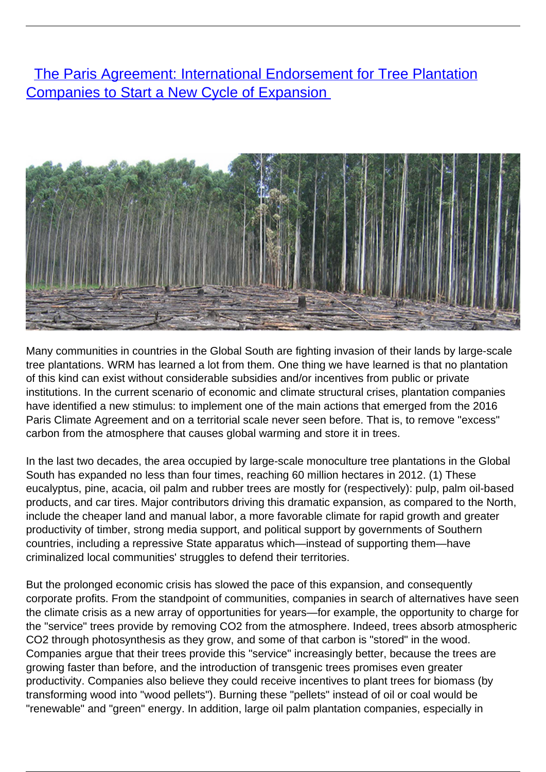**[The Paris Agreement: International Endorsement for Tree Plantation](/bulletin-articles/the-paris-agreement-international-endorsement-for-tree-plantation-companies-to-start-a-new-cycle-of)** [Companies to Start a New Cycle of Expansion](/bulletin-articles/the-paris-agreement-international-endorsement-for-tree-plantation-companies-to-start-a-new-cycle-of)



Many communities in countries in the Global South are fighting invasion of their lands by large-scale tree plantations. WRM has learned a lot from them. One thing we have learned is that no plantation of this kind can exist without considerable subsidies and/or incentives from public or private institutions. In the current scenario of economic and climate structural crises, plantation companies have identified a new stimulus: to implement one of the main actions that emerged from the 2016 Paris Climate Agreement and on a territorial scale never seen before. That is, to remove "excess" carbon from the atmosphere that causes global warming and store it in trees.

In the last two decades, the area occupied by large-scale monoculture tree plantations in the Global South has expanded no less than four times, reaching 60 million hectares in 2012. (1) These eucalyptus, pine, acacia, oil palm and rubber trees are mostly for (respectively): pulp, palm oil-based products, and car tires. Major contributors driving this dramatic expansion, as compared to the North, include the cheaper land and manual labor, a more favorable climate for rapid growth and greater productivity of timber, strong media support, and political support by governments of Southern countries, including a repressive State apparatus which—instead of supporting them—have criminalized local communities' struggles to defend their territories.

But the prolonged economic crisis has slowed the pace of this expansion, and consequently corporate profits. From the standpoint of communities, companies in search of alternatives have seen the climate crisis as a new array of opportunities for years—for example, the opportunity to charge for the "service" trees provide by removing CO2 from the atmosphere. Indeed, trees absorb atmospheric CO2 through photosynthesis as they grow, and some of that carbon is "stored" in the wood. Companies argue that their trees provide this "service" increasingly better, because the trees are growing faster than before, and the introduction of transgenic trees promises even greater productivity. Companies also believe they could receive incentives to plant trees for biomass (by transforming wood into "wood pellets"). Burning these "pellets" instead of oil or coal would be "renewable" and "green" energy. In addition, large oil palm plantation companies, especially in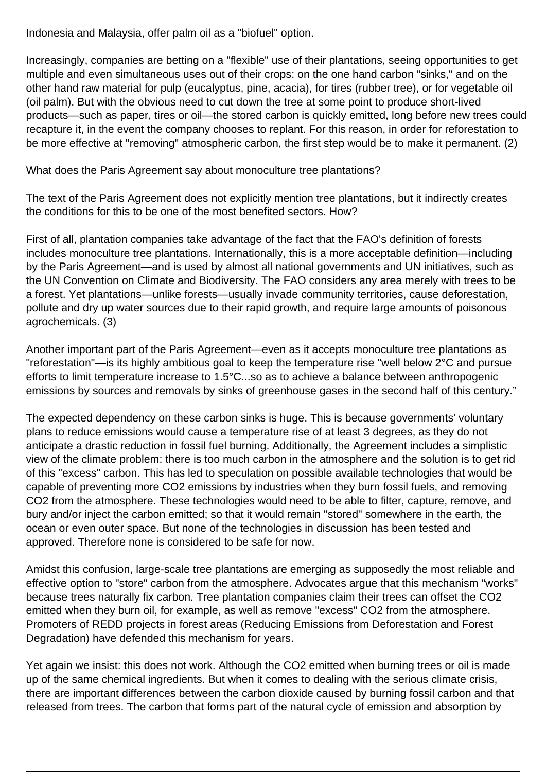Indonesia and Malaysia, offer palm oil as a "biofuel" option.

Increasingly, companies are betting on a "flexible" use of their plantations, seeing opportunities to get multiple and even simultaneous uses out of their crops: on the one hand carbon "sinks," and on the other hand raw material for pulp (eucalyptus, pine, acacia), for tires (rubber tree), or for vegetable oil (oil palm). But with the obvious need to cut down the tree at some point to produce short-lived products—such as paper, tires or oil—the stored carbon is quickly emitted, long before new trees could recapture it, in the event the company chooses to replant. For this reason, in order for reforestation to be more effective at "removing" atmospheric carbon, the first step would be to make it permanent. (2)

What does the Paris Agreement say about monoculture tree plantations?

The text of the Paris Agreement does not explicitly mention tree plantations, but it indirectly creates the conditions for this to be one of the most benefited sectors. How?

First of all, plantation companies take advantage of the fact that the FAO's definition of forests includes monoculture tree plantations. Internationally, this is a more acceptable definition—including by the Paris Agreement—and is used by almost all national governments and UN initiatives, such as the UN Convention on Climate and Biodiversity. The FAO considers any area merely with trees to be a forest. Yet plantations—unlike forests—usually invade community territories, cause deforestation, pollute and dry up water sources due to their rapid growth, and require large amounts of poisonous agrochemicals. (3)

Another important part of the Paris Agreement—even as it accepts monoculture tree plantations as "reforestation"—is its highly ambitious goal to keep the temperature rise "well below 2°C and pursue efforts to limit temperature increase to 1.5°C...so as to achieve a balance between anthropogenic emissions by sources and removals by sinks of greenhouse gases in the second half of this century."

The expected dependency on these carbon sinks is huge. This is because governments' voluntary plans to reduce emissions would cause a temperature rise of at least 3 degrees, as they do not anticipate a drastic reduction in fossil fuel burning. Additionally, the Agreement includes a simplistic view of the climate problem: there is too much carbon in the atmosphere and the solution is to get rid of this "excess" carbon. This has led to speculation on possible available technologies that would be capable of preventing more CO2 emissions by industries when they burn fossil fuels, and removing CO2 from the atmosphere. These technologies would need to be able to filter, capture, remove, and bury and/or inject the carbon emitted; so that it would remain "stored" somewhere in the earth, the ocean or even outer space. But none of the technologies in discussion has been tested and approved. Therefore none is considered to be safe for now.

Amidst this confusion, large-scale tree plantations are emerging as supposedly the most reliable and effective option to "store" carbon from the atmosphere. Advocates argue that this mechanism "works" because trees naturally fix carbon. Tree plantation companies claim their trees can offset the CO2 emitted when they burn oil, for example, as well as remove "excess" CO2 from the atmosphere. Promoters of REDD projects in forest areas (Reducing Emissions from Deforestation and Forest Degradation) have defended this mechanism for years.

Yet again we insist: this does not work. Although the CO2 emitted when burning trees or oil is made up of the same chemical ingredients. But when it comes to dealing with the serious climate crisis, there are important differences between the carbon dioxide caused by burning fossil carbon and that released from trees. The carbon that forms part of the natural cycle of emission and absorption by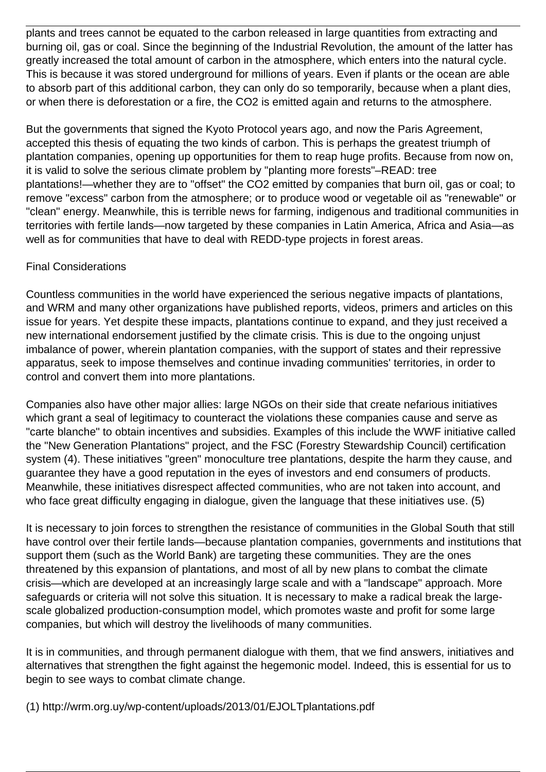plants and trees cannot be equated to the carbon released in large quantities from extracting and burning oil, gas or coal. Since the beginning of the Industrial Revolution, the amount of the latter has greatly increased the total amount of carbon in the atmosphere, which enters into the natural cycle. This is because it was stored underground for millions of years. Even if plants or the ocean are able to absorb part of this additional carbon, they can only do so temporarily, because when a plant dies, or when there is deforestation or a fire, the CO2 is emitted again and returns to the atmosphere.

But the governments that signed the Kyoto Protocol years ago, and now the Paris Agreement, accepted this thesis of equating the two kinds of carbon. This is perhaps the greatest triumph of plantation companies, opening up opportunities for them to reap huge profits. Because from now on, it is valid to solve the serious climate problem by "planting more forests"–READ: tree plantations!—whether they are to "offset" the CO2 emitted by companies that burn oil, gas or coal; to remove "excess" carbon from the atmosphere; or to produce wood or vegetable oil as "renewable" or "clean" energy. Meanwhile, this is terrible news for farming, indigenous and traditional communities in territories with fertile lands—now targeted by these companies in Latin America, Africa and Asia—as well as for communities that have to deal with REDD-type projects in forest areas.

## Final Considerations

Countless communities in the world have experienced the serious negative impacts of plantations, and WRM and many other organizations have published reports, videos, primers and articles on this issue for years. Yet despite these impacts, plantations continue to expand, and they just received a new international endorsement justified by the climate crisis. This is due to the ongoing unjust imbalance of power, wherein plantation companies, with the support of states and their repressive apparatus, seek to impose themselves and continue invading communities' territories, in order to control and convert them into more plantations.

Companies also have other major allies: large NGOs on their side that create nefarious initiatives which grant a seal of legitimacy to counteract the violations these companies cause and serve as "carte blanche" to obtain incentives and subsidies. Examples of this include the WWF initiative called the "New Generation Plantations" project, and the FSC (Forestry Stewardship Council) certification system (4). These initiatives "green" monoculture tree plantations, despite the harm they cause, and guarantee they have a good reputation in the eyes of investors and end consumers of products. Meanwhile, these initiatives disrespect affected communities, who are not taken into account, and who face great difficulty engaging in dialogue, given the language that these initiatives use. (5)

It is necessary to join forces to strengthen the resistance of communities in the Global South that still have control over their fertile lands—because plantation companies, governments and institutions that support them (such as the World Bank) are targeting these communities. They are the ones threatened by this expansion of plantations, and most of all by new plans to combat the climate crisis—which are developed at an increasingly large scale and with a "landscape" approach. More safeguards or criteria will not solve this situation. It is necessary to make a radical break the largescale globalized production-consumption model, which promotes waste and profit for some large companies, but which will destroy the livelihoods of many communities.

It is in communities, and through permanent dialogue with them, that we find answers, initiatives and alternatives that strengthen the fight against the hegemonic model. Indeed, this is essential for us to begin to see ways to combat climate change.

(1) http://wrm.org.uy/wp-content/uploads/2013/01/EJOLTplantations.pdf